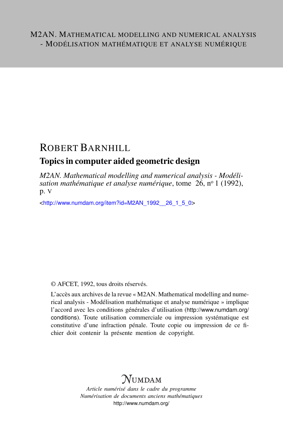## ROBERT BARNHILL

## Topics in computer aided geometric design

*M2AN. Mathematical modelling and numerical analysis - Modélisation mathématique et analyse numérique*, tome 26, n<sup>o</sup> 1 (1992), p. V

<[http://www.numdam.org/item?id=M2AN\\_1992\\_\\_26\\_1\\_5\\_0](http://www.numdam.org/item?id=M2AN_1992__26_1_5_0)>

© AFCET, 1992, tous droits réservés.

L'accès aux archives de la revue « M2AN. Mathematical modelling and numerical analysis - Modélisation mathématique et analyse numérique » implique l'accord avec les conditions générales d'utilisation ([http://www.numdam.org/](http://www.numdam.org/conditions) [conditions](http://www.numdam.org/conditions)). Toute utilisation commerciale ou impression systématique est constitutive d'une infraction pénale. Toute copie ou impression de ce fichier doit contenir la présente mention de copyright.

## $\mathcal{N}$ umdam

*Article numérisé dans le cadre du programme Numérisation de documents anciens mathématiques* <http://www.numdam.org/>